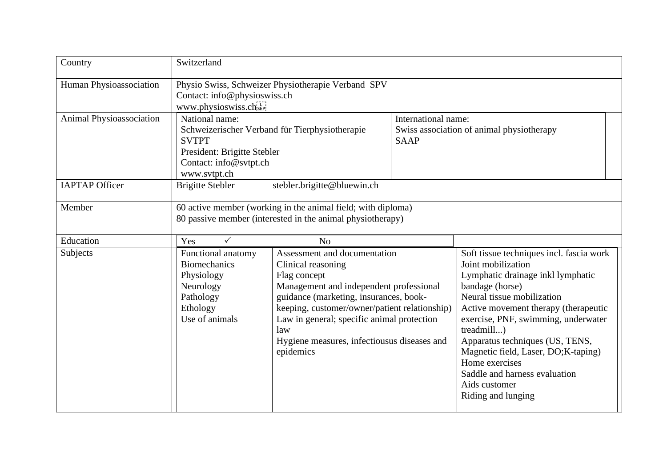| Country                  | Switzerland                                                                                                                                               |                                                                                                                                                                                                                                                                                                                           |                                                                                 |                                                                                                                                                                                                                                                                                                                                                                                                                       |  |
|--------------------------|-----------------------------------------------------------------------------------------------------------------------------------------------------------|---------------------------------------------------------------------------------------------------------------------------------------------------------------------------------------------------------------------------------------------------------------------------------------------------------------------------|---------------------------------------------------------------------------------|-----------------------------------------------------------------------------------------------------------------------------------------------------------------------------------------------------------------------------------------------------------------------------------------------------------------------------------------------------------------------------------------------------------------------|--|
| Human Physioassociation  | Physio Swiss, Schweizer Physiotherapie Verband SPV<br>Contact: info@physioswiss.ch<br>www.physioswiss.ch.                                                 |                                                                                                                                                                                                                                                                                                                           |                                                                                 |                                                                                                                                                                                                                                                                                                                                                                                                                       |  |
| Animal Physioassociation | National name:<br>Schweizerischer Verband für Tierphysiotherapie<br><b>SVTPT</b><br>President: Brigitte Stebler<br>Contact: info@svtpt.ch<br>www.svtpt.ch |                                                                                                                                                                                                                                                                                                                           | International name:<br>Swiss association of animal physiotherapy<br><b>SAAP</b> |                                                                                                                                                                                                                                                                                                                                                                                                                       |  |
| <b>IAPTAP Officer</b>    | <b>Brigitte Stebler</b>                                                                                                                                   | stebler.brigitte@bluewin.ch                                                                                                                                                                                                                                                                                               |                                                                                 |                                                                                                                                                                                                                                                                                                                                                                                                                       |  |
| Member                   | 60 active member (working in the animal field; with diploma)<br>80 passive member (interested in the animal physiotherapy)                                |                                                                                                                                                                                                                                                                                                                           |                                                                                 |                                                                                                                                                                                                                                                                                                                                                                                                                       |  |
| Education                | Yes<br>$\checkmark$                                                                                                                                       | N <sub>o</sub>                                                                                                                                                                                                                                                                                                            |                                                                                 |                                                                                                                                                                                                                                                                                                                                                                                                                       |  |
| Subjects                 | Functional anatomy<br><b>Biomechanics</b><br>Physiology<br>Neurology<br>Pathology<br>Ethology<br>Use of animals                                           | Assessment and documentation<br>Clinical reasoning<br>Flag concept<br>Management and independent professional<br>guidance (marketing, insurances, book-<br>keeping, customer/owner/patient relationship)<br>Law in general; specific animal protection<br>law<br>Hygiene measures, infectiousus diseases and<br>epidemics |                                                                                 | Soft tissue techniques incl. fascia work<br>Joint mobilization<br>Lymphatic drainage inkl lymphatic<br>bandage (horse)<br>Neural tissue mobilization<br>Active movement therapy (therapeutic<br>exercise, PNF, swimming, underwater<br>treadmill)<br>Apparatus techniques (US, TENS,<br>Magnetic field, Laser, DO;K-taping)<br>Home exercises<br>Saddle and harness evaluation<br>Aids customer<br>Riding and lunging |  |